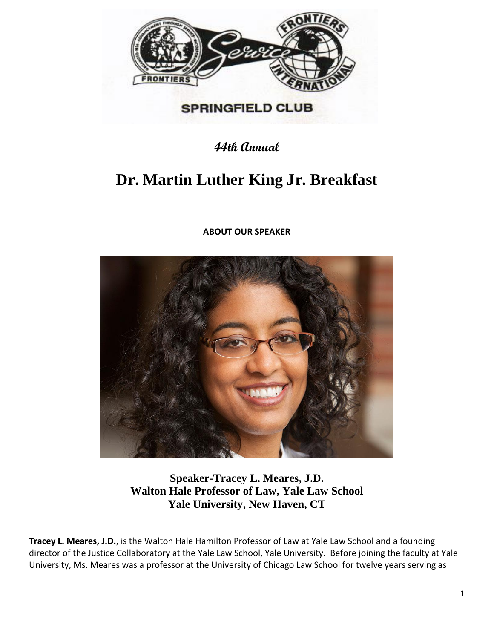

## **SPRINGFIELD CLUB**

**44th Annual**

## **Dr. Martin Luther King Jr. Breakfast**

**ABOUT OUR SPEAKER**



**Speaker-Tracey L. Meares, J.D. Walton Hale Professor of Law, Yale Law School Yale University, New Haven, CT**

**Tracey L. Meares, J.D.**, is the Walton Hale Hamilton Professor of Law at Yale Law School and a founding director of the Justice Collaboratory at the Yale Law School, Yale University. Before joining the faculty at Yale University, Ms. Meares was a professor at the University of Chicago Law School for twelve years serving as